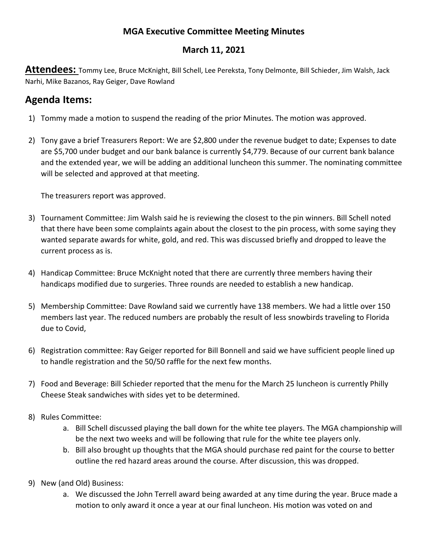## **MGA Executive Committee Meeting Minutes**

## **March 11, 2021**

**Attendees:** Tommy Lee, Bruce McKnight, Bill Schell, Lee Pereksta, Tony Delmonte, Bill Schieder, Jim Walsh, Jack Narhi, Mike Bazanos, Ray Geiger, Dave Rowland

## **Agenda Items:**

- 1) Tommy made a motion to suspend the reading of the prior Minutes. The motion was approved.
- 2) Tony gave a brief Treasurers Report: We are \$2,800 under the revenue budget to date; Expenses to date are \$5,700 under budget and our bank balance is currently \$4,779. Because of our current bank balance and the extended year, we will be adding an additional luncheon this summer. The nominating committee will be selected and approved at that meeting.

The treasurers report was approved.

- 3) Tournament Committee: Jim Walsh said he is reviewing the closest to the pin winners. Bill Schell noted that there have been some complaints again about the closest to the pin process, with some saying they wanted separate awards for white, gold, and red. This was discussed briefly and dropped to leave the current process as is.
- 4) Handicap Committee: Bruce McKnight noted that there are currently three members having their handicaps modified due to surgeries. Three rounds are needed to establish a new handicap.
- 5) Membership Committee: Dave Rowland said we currently have 138 members. We had a little over 150 members last year. The reduced numbers are probably the result of less snowbirds traveling to Florida due to Covid,
- 6) Registration committee: Ray Geiger reported for Bill Bonnell and said we have sufficient people lined up to handle registration and the 50/50 raffle for the next few months.
- 7) Food and Beverage: Bill Schieder reported that the menu for the March 25 luncheon is currently Philly Cheese Steak sandwiches with sides yet to be determined.
- 8) Rules Committee:
	- a. Bill Schell discussed playing the ball down for the white tee players. The MGA championship will be the next two weeks and will be following that rule for the white tee players only.
	- b. Bill also brought up thoughts that the MGA should purchase red paint for the course to better outline the red hazard areas around the course. After discussion, this was dropped.
- 9) New (and Old) Business:
	- a. We discussed the John Terrell award being awarded at any time during the year. Bruce made a motion to only award it once a year at our final luncheon. His motion was voted on and